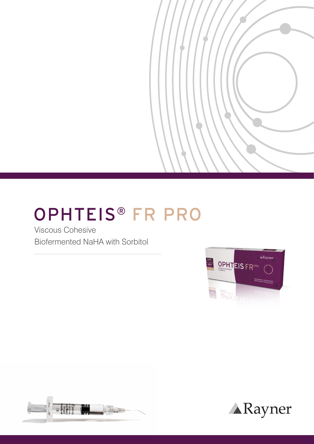# **OPHTEIS® FR PRO**

**Viscous Cohesive** Biofermented NaHA with Sorbitol